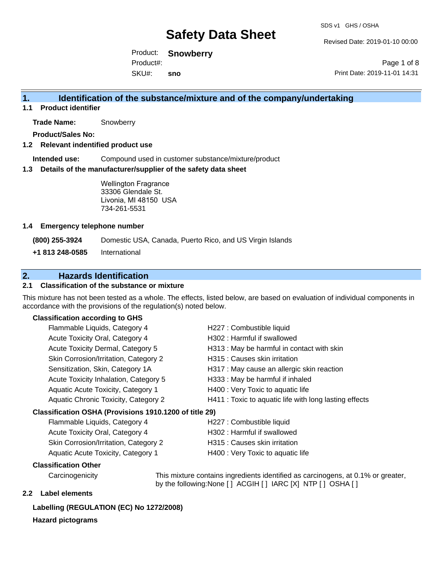Revised Date: 2019-01-10 00:00

Product: **Snowberry** SKU#: Product#: **sno**

Page 1 of 8 Print Date: 2019-11-01 14:31

## **1. Identification of the substance/mixture and of the company/undertaking**

**1.1 Product identifier**

**Trade Name:** Snowberry

**Product/Sales No:**

#### **1.2 Relevant indentified product use**

**Intended use:** Compound used in customer substance/mixture/product

#### **1.3 Details of the manufacturer/supplier of the safety data sheet**

Wellington Fragrance 33306 Glendale St. Livonia, MI 48150 USA 734-261-5531

#### **1.4 Emergency telephone number**

**(800) 255-3924** Domestic USA, Canada, Puerto Rico, and US Virgin Islands

**+1 813 248-0585** International

## **2. Hazards Identification**

### **2.1 Classification of the substance or mixture**

This mixture has not been tested as a whole. The effects, listed below, are based on evaluation of individual components in accordance with the provisions of the regulation(s) noted below.

#### **Classification according to GHS**

| Flammable Liquids, Category 4                          | H227 : Combustible liquid                              |
|--------------------------------------------------------|--------------------------------------------------------|
| Acute Toxicity Oral, Category 4                        | H302: Harmful if swallowed                             |
| Acute Toxicity Dermal, Category 5                      | H313 : May be harmful in contact with skin             |
| Skin Corrosion/Irritation, Category 2                  | H315 : Causes skin irritation                          |
| Sensitization, Skin, Category 1A                       | H317 : May cause an allergic skin reaction             |
| Acute Toxicity Inhalation, Category 5                  | H333: May be harmful if inhaled                        |
| Aquatic Acute Toxicity, Category 1                     | H400 : Very Toxic to aquatic life                      |
| Aquatic Chronic Toxicity, Category 2                   | H411 : Toxic to aquatic life with long lasting effects |
| Classification OSHA (Provisions 1910.1200 of title 29) |                                                        |
| — <u>III.a. 1</u>                                      | $\sim$ $\sim$ $\sim$ $\sim$ $\sim$ $\sim$ $\sim$       |

### Flammable Liquids, Category 4 H227 : Combustible liquid Acute Toxicity Oral, Category 4 H302 : Harmful if swallowed Skin Corrosion/Irritation, Category 2 H315 : Causes skin irritation Aquatic Acute Toxicity, Category 1 H400 : Very Toxic to aquatic life

#### **Classification Other**

Carcinogenicity This mixture contains ingredients identified as carcinogens, at 0.1% or greater, by the following:None [ ] ACGIH [ ] IARC [X] NTP [ ] OSHA [ ]

#### **2.2 Label elements**

#### **Labelling (REGULATION (EC) No 1272/2008)**

#### **Hazard pictograms**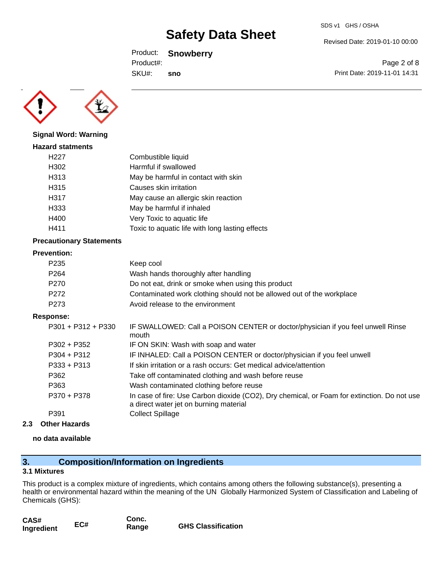SDS v1 GHS / OSHA

Revised Date: 2019-01-10 00:00

Print Date: 2019-11-01 14:31

Page 2 of 8

Product: **Snowberry**

Product#:

SKU#: **sno**



#### **Signal Word: Warning**

| <b>Hazard statments</b> |                                                 |
|-------------------------|-------------------------------------------------|
| H <sub>22</sub> 7       | Combustible liquid                              |
| H302                    | Harmful if swallowed                            |
| H313                    | May be harmful in contact with skin             |
| H315                    | Causes skin irritation                          |
| H317                    | May cause an allergic skin reaction             |
| H333                    | May be harmful if inhaled                       |
| H400                    | Very Toxic to aquatic life                      |
| H411                    | Toxic to aquatic life with long lasting effects |
|                         |                                                 |

#### **Precautionary Statements**

#### **Prevention:**

| P <sub>235</sub> | Keep cool                                                             |
|------------------|-----------------------------------------------------------------------|
| P <sub>264</sub> | Wash hands thoroughly after handling                                  |
| P <sub>270</sub> | Do not eat, drink or smoke when using this product                    |
| P <sub>272</sub> | Contaminated work clothing should not be allowed out of the workplace |
| P <sub>273</sub> | Avoid release to the environment                                      |

#### **Response:**

| P301 + P312 + P330 | IF SWALLOWED: Call a POISON CENTER or doctor/physician if you feel unwell Rinse<br>mouth                                              |
|--------------------|---------------------------------------------------------------------------------------------------------------------------------------|
| $P302 + P352$      | IF ON SKIN: Wash with soap and water                                                                                                  |
| $P304 + P312$      | IF INHALED: Call a POISON CENTER or doctor/physician if you feel unwell                                                               |
| $P333 + P313$      | If skin irritation or a rash occurs: Get medical advice/attention                                                                     |
| P362               | Take off contaminated clothing and wash before reuse                                                                                  |
| P363               | Wash contaminated clothing before reuse                                                                                               |
| P370 + P378        | In case of fire: Use Carbon dioxide (CO2), Dry chemical, or Foam for extinction. Do not use<br>a direct water jet on burning material |
| P391               | <b>Collect Spillage</b>                                                                                                               |
|                    |                                                                                                                                       |

#### **2.3 Other Hazards**

#### **no data available**

## **3. Composition/Information on Ingredients**

### **3.1 Mixtures**

This product is a complex mixture of ingredients, which contains among others the following substance(s), presenting a health or environmental hazard within the meaning of the UN Globally Harmonized System of Classification and Labeling of Chemicals (GHS):

| CAS#       |     | Conc. |                           |
|------------|-----|-------|---------------------------|
| Ingredient | EC# | Range | <b>GHS Classification</b> |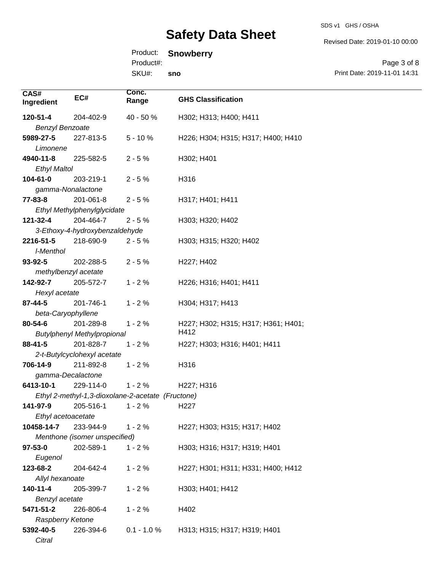#### SDS v1 GHS / OSHA

# **Safety Data Sheet**

Revised Date: 2019-01-10 00:00

Product: **Snowberry**

Product#:

SKU#: **sno**

Page 3 of 8 Print Date: 2019-11-01 14:31

| CAS#                   |                                    | Conc.                                             |                                     |
|------------------------|------------------------------------|---------------------------------------------------|-------------------------------------|
| Ingredient             | EC#                                | Range                                             | <b>GHS Classification</b>           |
|                        |                                    |                                                   |                                     |
| 120-51-4               | 204-402-9                          | 40 - 50 %                                         | H302; H313; H400; H411              |
| <b>Benzyl Benzoate</b> |                                    |                                                   |                                     |
| 5989-27-5              | 227-813-5                          | $5 - 10%$                                         | H226; H304; H315; H317; H400; H410  |
| Limonene               |                                    |                                                   |                                     |
| 4940-11-8              | 225-582-5                          | $2 - 5%$                                          | H302; H401                          |
| <b>Ethyl Maltol</b>    |                                    |                                                   |                                     |
| $104 - 61 - 0$         | 203-219-1                          | $2 - 5%$                                          | H316                                |
| gamma-Nonalactone      |                                    |                                                   |                                     |
| 77-83-8                | 201-061-8                          | $2 - 5%$                                          | H317; H401; H411                    |
|                        | Ethyl Methylphenylglycidate        |                                                   |                                     |
| 121-32-4               | 204-464-7                          | $2 - 5%$                                          | H303; H320; H402                    |
|                        | 3-Ethoxy-4-hydroxybenzaldehyde     |                                                   |                                     |
| 2216-51-5              | 218-690-9                          | $2 - 5%$                                          | H303; H315; H320; H402              |
| I-Menthol              |                                    |                                                   |                                     |
| 93-92-5                | 202-288-5                          | $2 - 5%$                                          | H227; H402                          |
| methylbenzyl acetate   |                                    |                                                   |                                     |
| 142-92-7               | 205-572-7                          | $1 - 2%$                                          | H226; H316; H401; H411              |
| Hexyl acetate          |                                    |                                                   |                                     |
| 87-44-5                | 201-746-1                          | $1 - 2%$                                          | H304; H317; H413                    |
| beta-Caryophyllene     |                                    |                                                   |                                     |
| 80-54-6                | 201-289-8                          | $1 - 2%$                                          | H227; H302; H315; H317; H361; H401; |
|                        | <b>Butylphenyl Methylpropional</b> |                                                   | H412                                |
| $88 - 41 - 5$          | 201-828-7                          | $1 - 2%$                                          | H227; H303; H316; H401; H411        |
|                        | 2-t-Butylcyclohexyl acetate        |                                                   |                                     |
| 706-14-9               | 211-892-8                          | $1 - 2%$                                          | H316                                |
| gamma-Decalactone      |                                    |                                                   |                                     |
| 6413-10-1              | 229-114-0                          | $1 - 2%$                                          | H227; H316                          |
|                        |                                    | Ethyl 2-methyl-1,3-dioxolane-2-acetate (Fructone) |                                     |
| 141-97-9               | 205-516-1                          | $1 - 2%$                                          | H <sub>22</sub> 7                   |
| Ethyl acetoacetate     |                                    |                                                   |                                     |
| 10458-14-7             | 233-944-9                          | $1 - 2%$                                          | H227; H303; H315; H317; H402        |
|                        | Menthone (isomer unspecified)      |                                                   |                                     |
| $97 - 53 - 0$          | 202-589-1                          | $1 - 2%$                                          | H303; H316; H317; H319; H401        |
| Eugenol                |                                    |                                                   |                                     |
| 123-68-2               | 204-642-4                          | $1 - 2%$                                          | H227; H301; H311; H331; H400; H412  |
| Allyl hexanoate        |                                    |                                                   |                                     |
| 140-11-4               | 205-399-7                          | $1 - 2%$                                          | H303; H401; H412                    |
| Benzyl acetate         |                                    |                                                   |                                     |
| 5471-51-2              | 226-806-4                          | $1 - 2%$                                          | H402                                |
| Raspberry Ketone       |                                    |                                                   |                                     |
| 5392-40-5              | 226-394-6                          | $0.1 - 1.0 %$                                     | H313; H315; H317; H319; H401        |
| Citral                 |                                    |                                                   |                                     |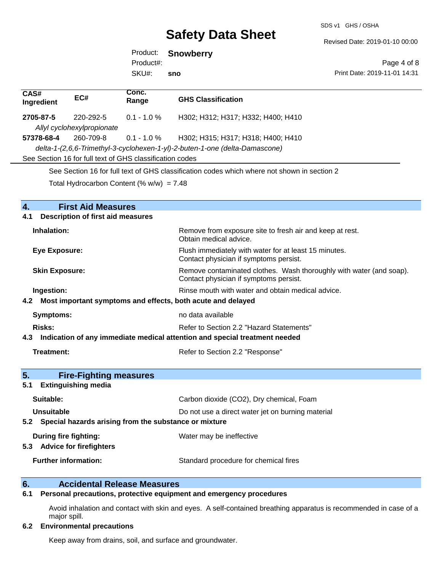SDS v1 GHS / OSHA

Revised Date: 2019-01-10 00:00

Product: **Snowberry** SKU#: Product#: **sno**

Page 4 of 8 Print Date: 2019-11-01 14:31

| CAS#<br>Ingredient    | EC#                                      | Conc.<br>Range                                           | <b>GHS Classification</b>                                                                                     |
|-----------------------|------------------------------------------|----------------------------------------------------------|---------------------------------------------------------------------------------------------------------------|
| 2705-87-5             | 220-292-5                                | $0.1 - 1.0 \%$                                           | H302; H312; H317; H332; H400; H410                                                                            |
|                       | Allyl cyclohexylpropionate               |                                                          |                                                                                                               |
| 57378-68-4            | 260-709-8                                | $0.1 - 1.0 \%$                                           | H302; H315; H317; H318; H400; H410                                                                            |
|                       |                                          |                                                          | delta-1-(2,6,6-Trimethyl-3-cyclohexen-1-yl)-2-buten-1-one (delta-Damascone)                                   |
|                       |                                          | See Section 16 for full text of GHS classification codes |                                                                                                               |
|                       |                                          |                                                          | See Section 16 for full text of GHS classification codes which where not shown in section 2                   |
|                       |                                          | Total Hydrocarbon Content (% $w/w$ ) = 7.48              |                                                                                                               |
|                       |                                          |                                                          |                                                                                                               |
| 4.                    | <b>First Aid Measures</b>                |                                                          |                                                                                                               |
| 4.1                   | <b>Description of first aid measures</b> |                                                          |                                                                                                               |
| Inhalation:           |                                          |                                                          | Remove from exposure site to fresh air and keep at rest.<br>Obtain medical advice.                            |
| <b>Eye Exposure:</b>  |                                          |                                                          | Flush immediately with water for at least 15 minutes.<br>Contact physician if symptoms persist.               |
| <b>Skin Exposure:</b> |                                          |                                                          | Remove contaminated clothes. Wash thoroughly with water (and soap).<br>Contact physician if symptoms persist. |
| Ingestion:            |                                          |                                                          | Rinse mouth with water and obtain medical advice.                                                             |
|                       |                                          |                                                          | 4.2 Most important symptoms and effects, both acute and delayed                                               |

| Symptoms:                                                                      | no data available                        |
|--------------------------------------------------------------------------------|------------------------------------------|
| Risks:                                                                         | Refer to Section 2.2 "Hazard Statements" |
| 4.3 Indication of any immediate medical attention and special treatment needed |                                          |

| Treatment: | Refer to Section 2.2 "Response" |
|------------|---------------------------------|
|            |                                 |

| 5.<br><b>Fire-Fighting measures</b>                            |                                                   |
|----------------------------------------------------------------|---------------------------------------------------|
| <b>Extinguishing media</b><br>5.1                              |                                                   |
| Suitable:                                                      | Carbon dioxide (CO2), Dry chemical, Foam          |
| Unsuitable                                                     | Do not use a direct water jet on burning material |
| Special hazards arising from the substance or mixture<br>5.2   |                                                   |
| During fire fighting:<br><b>Advice for firefighters</b><br>5.3 | Water may be ineffective                          |
| <b>Further information:</b>                                    | Standard procedure for chemical fires             |

# **6. Calcidental Release Measures**<br>**6.1** Personal precautions, protective equipment

## **6.1 Personal precautions, protective equipment and emergency procedures**

Avoid inhalation and contact with skin and eyes. A self-contained breathing apparatus is recommended in case of a major spill.

#### **6.2 Environmental precautions**

Keep away from drains, soil, and surface and groundwater.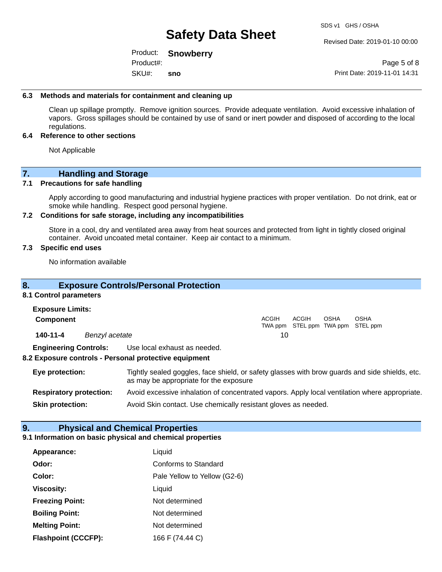Revised Date: 2019-01-10 00:00

Product: **Snowberry** SKU#: Product#: **sno**

Page 5 of 8 Print Date: 2019-11-01 14:31

#### **6.3 Methods and materials for containment and cleaning up**

Clean up spillage promptly. Remove ignition sources. Provide adequate ventilation. Avoid excessive inhalation of vapors. Gross spillages should be contained by use of sand or inert powder and disposed of according to the local regulations.

#### **6.4 Reference to other sections**

Not Applicable

## **7. Handling and Storage**

#### **7.1 Precautions for safe handling**

Apply according to good manufacturing and industrial hygiene practices with proper ventilation. Do not drink, eat or smoke while handling. Respect good personal hygiene.

#### **7.2 Conditions for safe storage, including any incompatibilities**

Store in a cool, dry and ventilated area away from heat sources and protected from light in tightly closed original container. Avoid uncoated metal container. Keep air contact to a minimum.

#### **7.3 Specific end uses**

No information available

### **8. Exposure Controls/Personal Protection**

#### **8.1 Control parameters**

| <b>Exposure Limits:</b>      |                |                                                       |              |       |             |                                                  |  |
|------------------------------|----------------|-------------------------------------------------------|--------------|-------|-------------|--------------------------------------------------|--|
| Component                    |                |                                                       | <b>ACGIH</b> | ACGIH | <b>OSHA</b> | <b>OSHA</b><br>TWA ppm STEL ppm TWA ppm STEL ppm |  |
| 140-11-4                     | Benzyl acetate |                                                       | 10           |       |             |                                                  |  |
| <b>Engineering Controls:</b> |                | Use local exhaust as needed.                          |              |       |             |                                                  |  |
|                              |                | 8.2 Exposure controls - Personal protective equipment |              |       |             |                                                  |  |

### **Eye protection:** Tightly sealed goggles, face shield, or safety glasses with brow guards and side shields, etc. as may be appropriate for the exposure **Respiratory protection:** Avoid excessive inhalation of concentrated vapors. Apply local ventilation where appropriate.

**Skin protection:** Avoid Skin contact. Use chemically resistant gloves as needed.

## **9. Physical and Chemical Properties**

#### **9.1 Information on basic physical and chemical properties**

| Appearance:                | Liquid                       |
|----------------------------|------------------------------|
| Odor:                      | Conforms to Standard         |
| Color:                     | Pale Yellow to Yellow (G2-6) |
| <b>Viscosity:</b>          | Liquid                       |
| <b>Freezing Point:</b>     | Not determined               |
| <b>Boiling Point:</b>      | Not determined               |
| <b>Melting Point:</b>      | Not determined               |
| <b>Flashpoint (CCCFP):</b> | 166 F (74.44 C)              |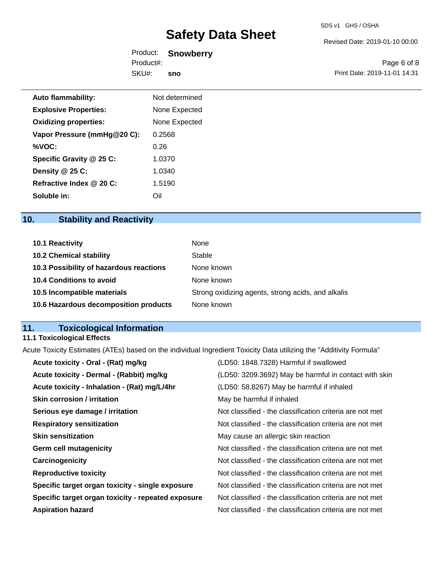Revised Date: 2019-01-10 00:00

Product: **Snowberry** SKU#: Product#: **sno**

Page 6 of 8 Print Date: 2019-11-01 14:31

| <b>Auto flammability:</b>    | Not determined |  |
|------------------------------|----------------|--|
| <b>Explosive Properties:</b> | None Expected  |  |
| <b>Oxidizing properties:</b> | None Expected  |  |
| Vapor Pressure (mmHg@20 C):  | 0.2568         |  |
| %VOC:                        | 0.26           |  |
| Specific Gravity @ 25 C:     | 1.0370         |  |
| Density @ 25 C:              | 1.0340         |  |
| Refractive Index @ 20 C:     | 1.5190         |  |
| Soluble in:                  | Oil            |  |

## **10. Stability and Reactivity**

| <b>10.1 Reactivity</b>                  | None                                               |
|-----------------------------------------|----------------------------------------------------|
| <b>10.2 Chemical stability</b>          | Stable                                             |
| 10.3 Possibility of hazardous reactions | None known                                         |
| <b>10.4 Conditions to avoid</b>         | None known                                         |
| 10.5 Incompatible materials             | Strong oxidizing agents, strong acids, and alkalis |
| 10.6 Hazardous decomposition products   | None known                                         |

## **11. Toxicological Information**

## **11.1 Toxicological Effects**

Acute Toxicity Estimates (ATEs) based on the individual Ingredient Toxicity Data utilizing the "Additivity Formula"

| Acute toxicity - Oral - (Rat) mg/kg                | (LD50: 1848.7328) Harmful if swallowed                   |
|----------------------------------------------------|----------------------------------------------------------|
| Acute toxicity - Dermal - (Rabbit) mg/kg           | (LD50: 3209.3692) May be harmful in contact with skin    |
| Acute toxicity - Inhalation - (Rat) mg/L/4hr       | (LD50: 58.8267) May be harmful if inhaled                |
| <b>Skin corrosion / irritation</b>                 | May be harmful if inhaled                                |
| Serious eye damage / irritation                    | Not classified - the classification criteria are not met |
| <b>Respiratory sensitization</b>                   | Not classified - the classification criteria are not met |
| <b>Skin sensitization</b>                          | May cause an allergic skin reaction                      |
| <b>Germ cell mutagenicity</b>                      | Not classified - the classification criteria are not met |
| Carcinogenicity                                    | Not classified - the classification criteria are not met |
| <b>Reproductive toxicity</b>                       | Not classified - the classification criteria are not met |
| Specific target organ toxicity - single exposure   | Not classified - the classification criteria are not met |
| Specific target organ toxicity - repeated exposure | Not classified - the classification criteria are not met |
| <b>Aspiration hazard</b>                           | Not classified - the classification criteria are not met |
|                                                    |                                                          |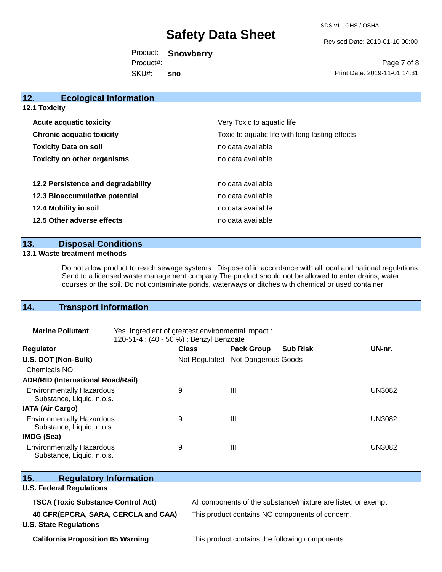SDS v1 GHS / OSHA

Revised Date: 2019-01-10 00:00

Product: **Snowberry** SKU#: Product#: **sno**

Page 7 of 8 Print Date: 2019-11-01 14:31

| 12.<br><b>Ecological Information</b> |                                                 |
|--------------------------------------|-------------------------------------------------|
| <b>12.1 Toxicity</b>                 |                                                 |
| <b>Acute acquatic toxicity</b>       | Very Toxic to aquatic life                      |
| <b>Chronic acquatic toxicity</b>     | Toxic to aquatic life with long lasting effects |
| <b>Toxicity Data on soil</b>         | no data available                               |
| <b>Toxicity on other organisms</b>   | no data available                               |
|                                      |                                                 |
| 12.2 Persistence and degradability   | no data available                               |
| 12.3 Bioaccumulative potential       | no data available                               |
| 12.4 Mobility in soil                | no data available                               |
| 12.5 Other adverse effects           | no data available                               |
|                                      |                                                 |

### **13. Disposal Conditions**

#### **13.1 Waste treatment methods**

Do not allow product to reach sewage systems. Dispose of in accordance with all local and national regulations. Send to a licensed waste management company.The product should not be allowed to enter drains, water courses or the soil. Do not contaminate ponds, waterways or ditches with chemical or used container.

## **14. Transport Information**

| <b>Marine Pollutant</b>                                       | Yes. Ingredient of greatest environmental impact:<br>120-51-4 : (40 - 50 %) : Benzyl Benzoate |              |                                     |                 |               |
|---------------------------------------------------------------|-----------------------------------------------------------------------------------------------|--------------|-------------------------------------|-----------------|---------------|
| <b>Regulator</b>                                              |                                                                                               | <b>Class</b> | <b>Pack Group</b>                   | <b>Sub Risk</b> | UN-nr.        |
| U.S. DOT (Non-Bulk)                                           |                                                                                               |              | Not Regulated - Not Dangerous Goods |                 |               |
| Chemicals NOI                                                 |                                                                                               |              |                                     |                 |               |
| <b>ADR/RID (International Road/Rail)</b>                      |                                                                                               |              |                                     |                 |               |
| <b>Environmentally Hazardous</b><br>Substance, Liquid, n.o.s. |                                                                                               | 9            | Ш                                   |                 | <b>UN3082</b> |
| <b>IATA (Air Cargo)</b>                                       |                                                                                               |              |                                     |                 |               |
| <b>Environmentally Hazardous</b><br>Substance, Liquid, n.o.s. |                                                                                               | 9            | Ш                                   |                 | <b>UN3082</b> |
| IMDG (Sea)                                                    |                                                                                               |              |                                     |                 |               |
| <b>Environmentally Hazardous</b><br>Substance, Liquid, n.o.s. |                                                                                               | 9            | Ш                                   |                 | UN3082        |

| Substance, Liquid, n.o.s.                                                                                         |                                                                                                                 |
|-------------------------------------------------------------------------------------------------------------------|-----------------------------------------------------------------------------------------------------------------|
| 15.<br><b>Regulatory Information</b><br><b>U.S. Federal Regulations</b>                                           |                                                                                                                 |
| <b>TSCA (Toxic Substance Control Act)</b><br>40 CFR(EPCRA, SARA, CERCLA and CAA)<br><b>U.S. State Regulations</b> | All components of the substance/mixture are listed or exempt<br>This product contains NO components of concern. |

**California Proposition 65 Warning This product contains the following components:**